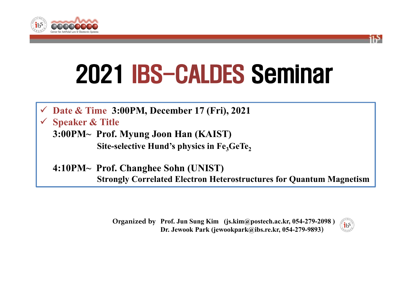



# 2021 IBS-CALDES Seminar

**Date & Time 3:00PM, December 17 (Fri), 2021**

**Speaker & Title**

**3:00PM⁓ Prof. Myung Joon Han (KAIST) Site-selective Hund's physics in Fe<sub>3</sub>GeTe<sub>2</sub>** 

**4:10PM⁓ Prof. Changhee Sohn (UNIST) Strongly Correlated Electron Heterostructures for Quantum Magnetism**

> **Prof. Jun Sung Kim (js.kim@postech.ac.kr, 054-279-2098 ) Organized by Dr. Jewook Park (jewookpark@ibs.re.kr, 054-279-9893)**

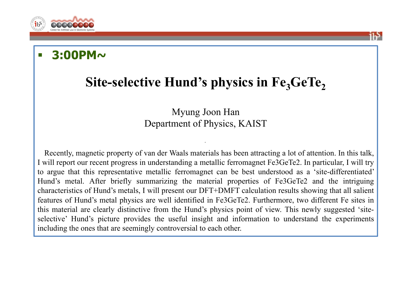

### **3:00PM~**

## Site-selective Hund's physics in Fe<sub>3</sub>GeTe<sub>2</sub>

#### Myung Joon Han Department of Physics, KAIST

Recently, magnetic property of van der Waals materials has been attracting <sup>a</sup> lot of attention. In this talk, I will repor<sup>t</sup> our recent progress in understanding <sup>a</sup> metallic ferromagnet Fe3GeTe2. In particular, I will try to argue that this representative metallic ferromagnet can be best understood as <sup>a</sup> 'site-differentiated' Hund's metal. After briefly summarizing the material properties of Fe3GeTe2 and the intriguing characteristics of Hund's metals, I will presen<sup>t</sup> our DFT+DMFT calculation results showing that all salient features of Hund's metal physics are well identified in Fe3GeTe2. Furthermore, two different Fe sites in this material are clearly distinctive from the Hund's physics point of view. This newly suggested 'siteselective' Hund's picture provides the useful insight and information to understand the experiments including the ones that are seemingly controversial to each other.